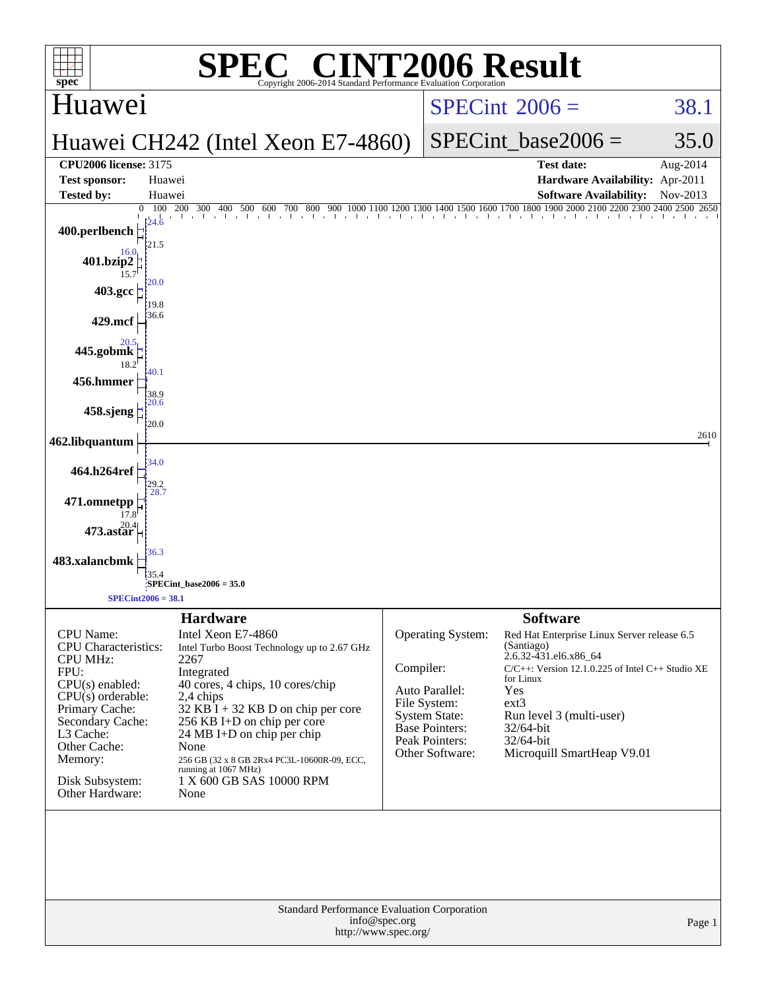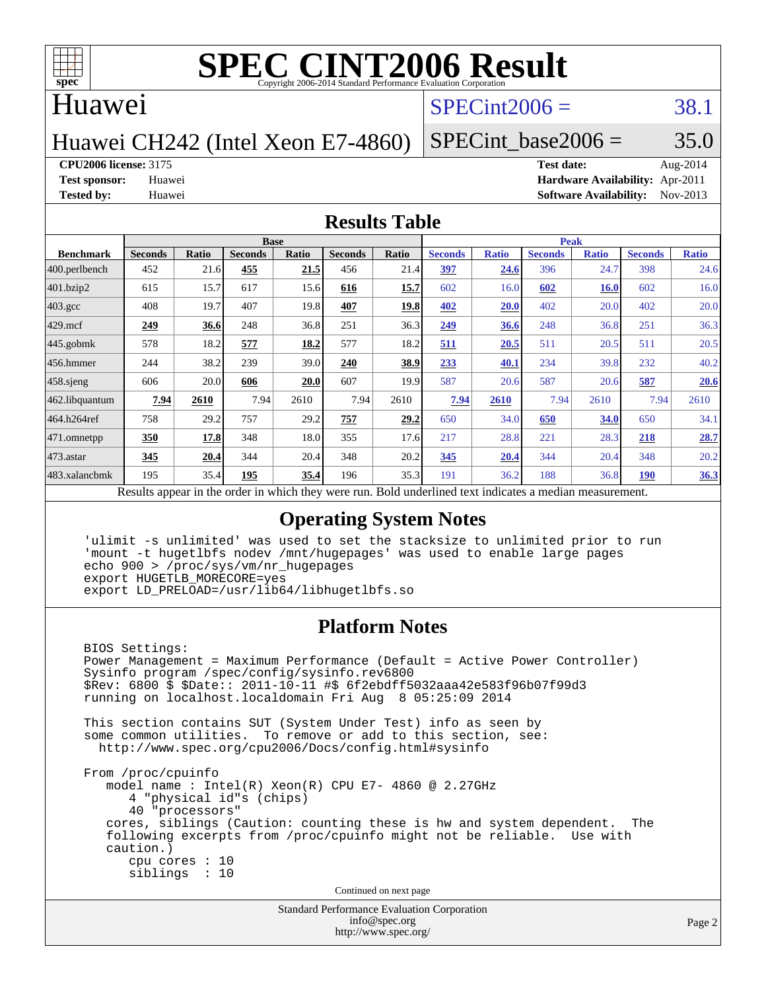

### Huawei

## $SPECint2006 = 38.1$  $SPECint2006 = 38.1$

Huawei CH242 (Intel Xeon E7-4860)

SPECint base2006 =  $35.0$ 

**[CPU2006 license:](http://www.spec.org/auto/cpu2006/Docs/result-fields.html#CPU2006license)** 3175 **[Test date:](http://www.spec.org/auto/cpu2006/Docs/result-fields.html#Testdate)** Aug-2014

**[Test sponsor:](http://www.spec.org/auto/cpu2006/Docs/result-fields.html#Testsponsor)** Huawei **[Hardware Availability:](http://www.spec.org/auto/cpu2006/Docs/result-fields.html#HardwareAvailability)** Apr-2011 **[Tested by:](http://www.spec.org/auto/cpu2006/Docs/result-fields.html#Testedby)** Huawei **[Software Availability:](http://www.spec.org/auto/cpu2006/Docs/result-fields.html#SoftwareAvailability)** Nov-2013

### **[Results Table](http://www.spec.org/auto/cpu2006/Docs/result-fields.html#ResultsTable)**

|                  | <b>Base</b>                                                                                              |       |                |       |                |             | <b>Peak</b>    |              |                |              |                |              |  |
|------------------|----------------------------------------------------------------------------------------------------------|-------|----------------|-------|----------------|-------------|----------------|--------------|----------------|--------------|----------------|--------------|--|
| <b>Benchmark</b> | <b>Seconds</b>                                                                                           | Ratio | <b>Seconds</b> | Ratio | <b>Seconds</b> | Ratio       | <b>Seconds</b> | <b>Ratio</b> | <b>Seconds</b> | <b>Ratio</b> | <b>Seconds</b> | <b>Ratio</b> |  |
| 400.perlbench    | 452                                                                                                      | 21.6  | 455            | 21.5  | 456            | 21.4        | 397            | 24.6         | 396            | 24.7         | 398            | 24.6         |  |
| 401.bzip2        | 615                                                                                                      | 15.7  | 617            | 15.6  | 616            | 15.7        | 602            | 16.0         | 602            | <b>16.0</b>  | 602            | 16.0         |  |
| $403.\text{gcc}$ | 408                                                                                                      | 19.7  | 407            | 19.8  | 407            | 19.8        | 402            | 20.0         | 402            | 20.0         | 402            | 20.0         |  |
| $429$ .mcf       | 249                                                                                                      | 36.6  | 248            | 36.8  | 251            | 36.3        | 249            | 36.6         | 248            | 36.8         | 251            | 36.3         |  |
| $445$ .gobmk     | 578                                                                                                      | 18.2  | 577            | 18.2  | 577            | 18.2        | 511            | 20.5         | 511            | 20.5         | 511            | 20.5         |  |
| $456.$ hmmer     | 244                                                                                                      | 38.2  | 239            | 39.0  | 240            | <u>38.9</u> | 233            | 40.1         | 234            | 39.8         | 232            | 40.2         |  |
| $458$ .sjeng     | 606                                                                                                      | 20.0  | 606            | 20.0  | 607            | 19.9        | 587            | 20.6         | 587            | 20.6         | 587            | 20.6         |  |
| 462.libquantum   | 7.94                                                                                                     | 2610  | 7.94           | 2610  | 7.94           | 2610        | 7.94           | 2610         | 7.94           | 2610         | 7.94           | 2610         |  |
| 464.h264ref      | 758                                                                                                      | 29.2  | 757            | 29.2  | 757            | 29.2        | 650            | 34.0         | 650            | 34.0         | 650            | 34.1         |  |
| 471.omnetpp      | 350                                                                                                      | 17.8  | 348            | 18.0  | 355            | 17.6        | 217            | 28.8         | 221            | 28.3         | 218            | 28.7         |  |
| $473$ . astar    | 345                                                                                                      | 20.4  | 344            | 20.4  | 348            | 20.2        | 345            | 20.4         | 344            | 20.4         | 348            | 20.2         |  |
| 483.xalancbmk    | 195                                                                                                      | 35.4  | 195            | 35.4  | 196            | 35.3        | 191            | 36.2         | 188            | 36.8         | 190            | 36.3         |  |
|                  | Results appear in the order in which they were run. Bold underlined text indicates a median measurement. |       |                |       |                |             |                |              |                |              |                |              |  |

### **[Operating System Notes](http://www.spec.org/auto/cpu2006/Docs/result-fields.html#OperatingSystemNotes)**

 'ulimit -s unlimited' was used to set the stacksize to unlimited prior to run 'mount -t hugetlbfs nodev /mnt/hugepages' was used to enable large pages echo 900 > /proc/sys/vm/nr\_hugepages export HUGETLB\_MORECORE=yes export LD\_PRELOAD=/usr/lib64/libhugetlbfs.so

### **[Platform Notes](http://www.spec.org/auto/cpu2006/Docs/result-fields.html#PlatformNotes)**

 BIOS Settings: Power Management = Maximum Performance (Default = Active Power Controller) Sysinfo program /spec/config/sysinfo.rev6800 \$Rev: 6800 \$ \$Date:: 2011-10-11 #\$ 6f2ebdff5032aaa42e583f96b07f99d3 running on localhost.localdomain Fri Aug 8 05:25:09 2014 This section contains SUT (System Under Test) info as seen by some common utilities. To remove or add to this section, see: <http://www.spec.org/cpu2006/Docs/config.html#sysinfo> From /proc/cpuinfo model name : Intel(R) Xeon(R) CPU E7- 4860 @ 2.27GHz 4 "physical id"s (chips) 40 "processors" cores, siblings (Caution: counting these is hw and system dependent. The following excerpts from /proc/cpuinfo might not be reliable. Use with caution.) cpu cores : 10 siblings : 10

Continued on next page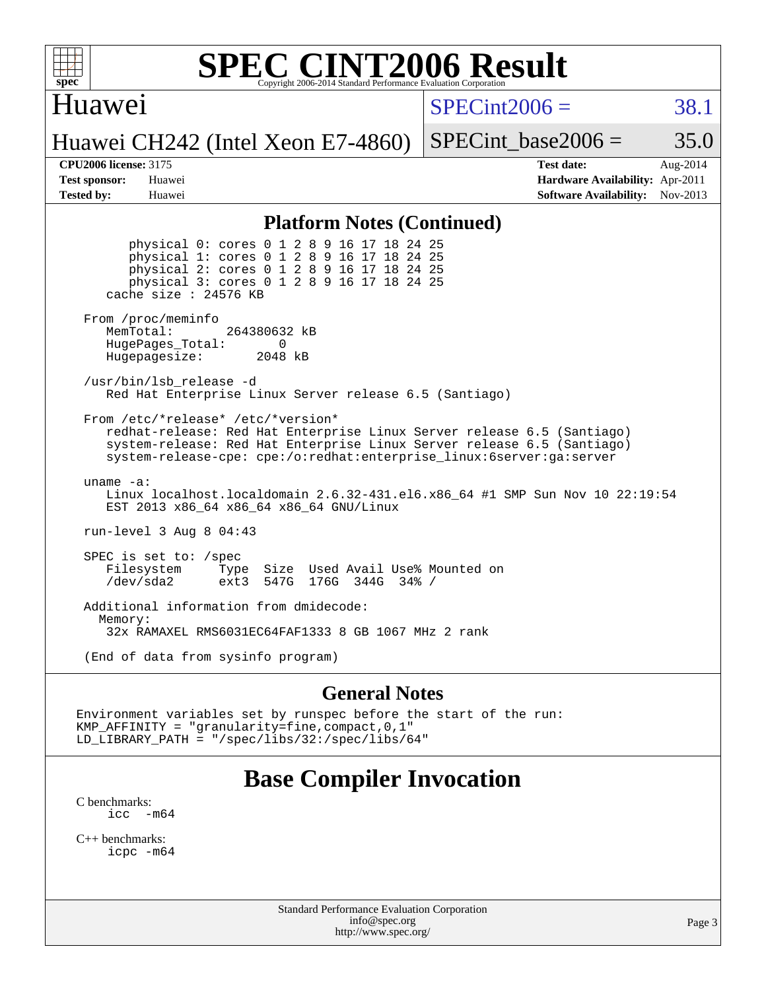

### Huawei

 $SPECint2006 = 38.1$  $SPECint2006 = 38.1$ 

Huawei CH242 (Intel Xeon E7-4860)

SPECint base2006 =  $35.0$ 

**[CPU2006 license:](http://www.spec.org/auto/cpu2006/Docs/result-fields.html#CPU2006license)** 3175 **[Test date:](http://www.spec.org/auto/cpu2006/Docs/result-fields.html#Testdate)** Aug-2014 **[Test sponsor:](http://www.spec.org/auto/cpu2006/Docs/result-fields.html#Testsponsor)** Huawei **[Hardware Availability:](http://www.spec.org/auto/cpu2006/Docs/result-fields.html#HardwareAvailability)** Apr-2011 **[Tested by:](http://www.spec.org/auto/cpu2006/Docs/result-fields.html#Testedby)** Huawei **[Software Availability:](http://www.spec.org/auto/cpu2006/Docs/result-fields.html#SoftwareAvailability)** Nov-2013

### **[Platform Notes \(Continued\)](http://www.spec.org/auto/cpu2006/Docs/result-fields.html#PlatformNotes)**

 physical 0: cores 0 1 2 8 9 16 17 18 24 25 physical 1: cores 0 1 2 8 9 16 17 18 24 25 physical 2: cores 0 1 2 8 9 16 17 18 24 25 physical 3: cores 0 1 2 8 9 16 17 18 24 25 cache size : 24576 KB From /proc/meminfo MemTotal: 264380632 kB HugePages\_Total: 0<br>Hugepagesize: 2048 kB Hugepagesize: /usr/bin/lsb\_release -d Red Hat Enterprise Linux Server release 6.5 (Santiago) From /etc/\*release\* /etc/\*version\* redhat-release: Red Hat Enterprise Linux Server release 6.5 (Santiago) system-release: Red Hat Enterprise Linux Server release 6.5 (Santiago) system-release-cpe: cpe:/o:redhat:enterprise\_linux:6server:ga:server uname -a: Linux localhost.localdomain 2.6.32-431.el6.x86\_64 #1 SMP Sun Nov 10 22:19:54 EST 2013 x86\_64 x86\_64 x86\_64 GNU/Linux run-level 3 Aug 8 04:43 SPEC is set to: /spec Filesystem Type Size Used Avail Use% Mounted on /dev/sda2 ext3 547G 176G 344G 34% / Additional information from dmidecode: Memory: 32x RAMAXEL RMS6031EC64FAF1333 8 GB 1067 MHz 2 rank

(End of data from sysinfo program)

### **[General Notes](http://www.spec.org/auto/cpu2006/Docs/result-fields.html#GeneralNotes)**

Environment variables set by runspec before the start of the run: KMP\_AFFINITY = "granularity=fine,compact,0,1" LD\_LIBRARY\_PATH = "/spec/libs/32:/spec/libs/64"

## **[Base Compiler Invocation](http://www.spec.org/auto/cpu2006/Docs/result-fields.html#BaseCompilerInvocation)**

[C benchmarks](http://www.spec.org/auto/cpu2006/Docs/result-fields.html#Cbenchmarks): icc  $-m64$ 

[C++ benchmarks:](http://www.spec.org/auto/cpu2006/Docs/result-fields.html#CXXbenchmarks) [icpc -m64](http://www.spec.org/cpu2006/results/res2014q3/cpu2006-20140903-31178.flags.html#user_CXXbase_intel_icpc_64bit_fc66a5337ce925472a5c54ad6a0de310)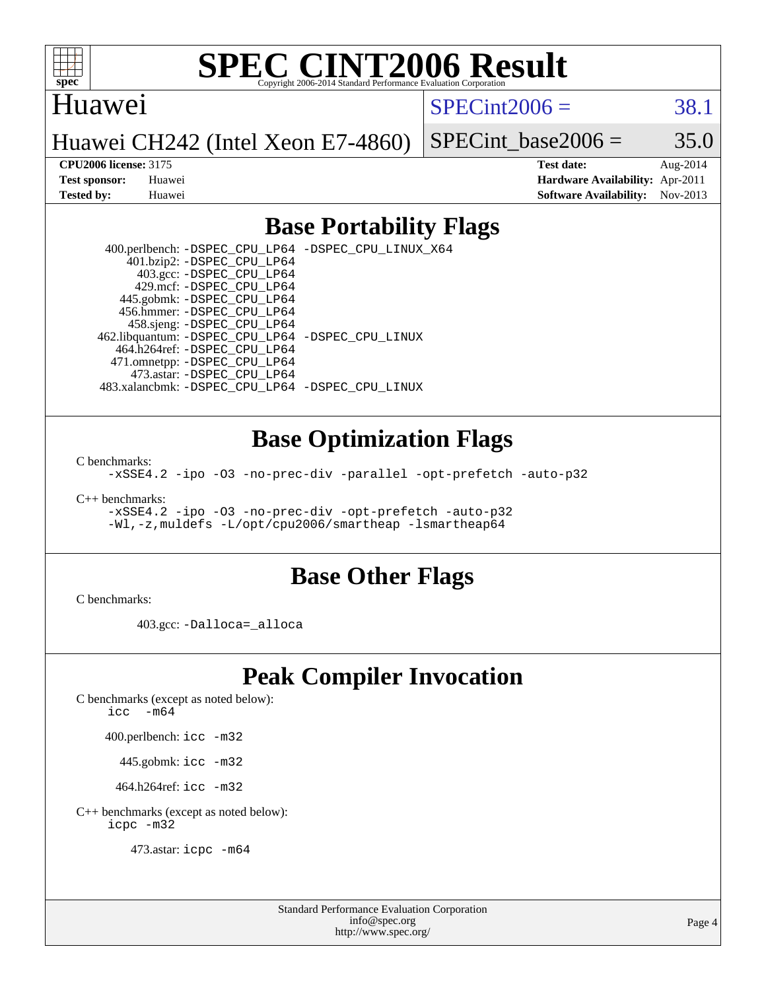

### Huawei

 $SPECint2006 = 38.1$  $SPECint2006 = 38.1$ 

Huawei CH242 (Intel Xeon E7-4860)

SPECint base2006 =  $35.0$ 

**[CPU2006 license:](http://www.spec.org/auto/cpu2006/Docs/result-fields.html#CPU2006license)** 3175 **[Test date:](http://www.spec.org/auto/cpu2006/Docs/result-fields.html#Testdate)** Aug-2014 **[Test sponsor:](http://www.spec.org/auto/cpu2006/Docs/result-fields.html#Testsponsor)** Huawei **[Hardware Availability:](http://www.spec.org/auto/cpu2006/Docs/result-fields.html#HardwareAvailability)** Apr-2011 **[Tested by:](http://www.spec.org/auto/cpu2006/Docs/result-fields.html#Testedby)** Huawei **[Software Availability:](http://www.spec.org/auto/cpu2006/Docs/result-fields.html#SoftwareAvailability)** Nov-2013

### **[Base Portability Flags](http://www.spec.org/auto/cpu2006/Docs/result-fields.html#BasePortabilityFlags)**

 400.perlbench: [-DSPEC\\_CPU\\_LP64](http://www.spec.org/cpu2006/results/res2014q3/cpu2006-20140903-31178.flags.html#b400.perlbench_basePORTABILITY_DSPEC_CPU_LP64) [-DSPEC\\_CPU\\_LINUX\\_X64](http://www.spec.org/cpu2006/results/res2014q3/cpu2006-20140903-31178.flags.html#b400.perlbench_baseCPORTABILITY_DSPEC_CPU_LINUX_X64) 401.bzip2: [-DSPEC\\_CPU\\_LP64](http://www.spec.org/cpu2006/results/res2014q3/cpu2006-20140903-31178.flags.html#suite_basePORTABILITY401_bzip2_DSPEC_CPU_LP64) 403.gcc: [-DSPEC\\_CPU\\_LP64](http://www.spec.org/cpu2006/results/res2014q3/cpu2006-20140903-31178.flags.html#suite_basePORTABILITY403_gcc_DSPEC_CPU_LP64) 429.mcf: [-DSPEC\\_CPU\\_LP64](http://www.spec.org/cpu2006/results/res2014q3/cpu2006-20140903-31178.flags.html#suite_basePORTABILITY429_mcf_DSPEC_CPU_LP64) 445.gobmk: [-DSPEC\\_CPU\\_LP64](http://www.spec.org/cpu2006/results/res2014q3/cpu2006-20140903-31178.flags.html#suite_basePORTABILITY445_gobmk_DSPEC_CPU_LP64) 456.hmmer: [-DSPEC\\_CPU\\_LP64](http://www.spec.org/cpu2006/results/res2014q3/cpu2006-20140903-31178.flags.html#suite_basePORTABILITY456_hmmer_DSPEC_CPU_LP64) 458.sjeng: [-DSPEC\\_CPU\\_LP64](http://www.spec.org/cpu2006/results/res2014q3/cpu2006-20140903-31178.flags.html#suite_basePORTABILITY458_sjeng_DSPEC_CPU_LP64) 462.libquantum: [-DSPEC\\_CPU\\_LP64](http://www.spec.org/cpu2006/results/res2014q3/cpu2006-20140903-31178.flags.html#suite_basePORTABILITY462_libquantum_DSPEC_CPU_LP64) [-DSPEC\\_CPU\\_LINUX](http://www.spec.org/cpu2006/results/res2014q3/cpu2006-20140903-31178.flags.html#b462.libquantum_baseCPORTABILITY_DSPEC_CPU_LINUX) 464.h264ref: [-DSPEC\\_CPU\\_LP64](http://www.spec.org/cpu2006/results/res2014q3/cpu2006-20140903-31178.flags.html#suite_basePORTABILITY464_h264ref_DSPEC_CPU_LP64) 471.omnetpp: [-DSPEC\\_CPU\\_LP64](http://www.spec.org/cpu2006/results/res2014q3/cpu2006-20140903-31178.flags.html#suite_basePORTABILITY471_omnetpp_DSPEC_CPU_LP64) 473.astar: [-DSPEC\\_CPU\\_LP64](http://www.spec.org/cpu2006/results/res2014q3/cpu2006-20140903-31178.flags.html#suite_basePORTABILITY473_astar_DSPEC_CPU_LP64) 483.xalancbmk: [-DSPEC\\_CPU\\_LP64](http://www.spec.org/cpu2006/results/res2014q3/cpu2006-20140903-31178.flags.html#suite_basePORTABILITY483_xalancbmk_DSPEC_CPU_LP64) [-DSPEC\\_CPU\\_LINUX](http://www.spec.org/cpu2006/results/res2014q3/cpu2006-20140903-31178.flags.html#b483.xalancbmk_baseCXXPORTABILITY_DSPEC_CPU_LINUX)

### **[Base Optimization Flags](http://www.spec.org/auto/cpu2006/Docs/result-fields.html#BaseOptimizationFlags)**

[C benchmarks](http://www.spec.org/auto/cpu2006/Docs/result-fields.html#Cbenchmarks):

[-xSSE4.2](http://www.spec.org/cpu2006/results/res2014q3/cpu2006-20140903-31178.flags.html#user_CCbase_f-xSSE42_f91528193cf0b216347adb8b939d4107) [-ipo](http://www.spec.org/cpu2006/results/res2014q3/cpu2006-20140903-31178.flags.html#user_CCbase_f-ipo) [-O3](http://www.spec.org/cpu2006/results/res2014q3/cpu2006-20140903-31178.flags.html#user_CCbase_f-O3) [-no-prec-div](http://www.spec.org/cpu2006/results/res2014q3/cpu2006-20140903-31178.flags.html#user_CCbase_f-no-prec-div) [-parallel](http://www.spec.org/cpu2006/results/res2014q3/cpu2006-20140903-31178.flags.html#user_CCbase_f-parallel) [-opt-prefetch](http://www.spec.org/cpu2006/results/res2014q3/cpu2006-20140903-31178.flags.html#user_CCbase_f-opt-prefetch) [-auto-p32](http://www.spec.org/cpu2006/results/res2014q3/cpu2006-20140903-31178.flags.html#user_CCbase_f-auto-p32)

[C++ benchmarks:](http://www.spec.org/auto/cpu2006/Docs/result-fields.html#CXXbenchmarks)

[-xSSE4.2](http://www.spec.org/cpu2006/results/res2014q3/cpu2006-20140903-31178.flags.html#user_CXXbase_f-xSSE42_f91528193cf0b216347adb8b939d4107) [-ipo](http://www.spec.org/cpu2006/results/res2014q3/cpu2006-20140903-31178.flags.html#user_CXXbase_f-ipo) [-O3](http://www.spec.org/cpu2006/results/res2014q3/cpu2006-20140903-31178.flags.html#user_CXXbase_f-O3) [-no-prec-div](http://www.spec.org/cpu2006/results/res2014q3/cpu2006-20140903-31178.flags.html#user_CXXbase_f-no-prec-div) [-opt-prefetch](http://www.spec.org/cpu2006/results/res2014q3/cpu2006-20140903-31178.flags.html#user_CXXbase_f-opt-prefetch) [-auto-p32](http://www.spec.org/cpu2006/results/res2014q3/cpu2006-20140903-31178.flags.html#user_CXXbase_f-auto-p32) [-Wl,-z,muldefs](http://www.spec.org/cpu2006/results/res2014q3/cpu2006-20140903-31178.flags.html#user_CXXbase_link_force_multiple1_74079c344b956b9658436fd1b6dd3a8a) [-L/opt/cpu2006/smartheap -lsmartheap64](http://www.spec.org/cpu2006/results/res2014q3/cpu2006-20140903-31178.flags.html#user_CXXbase_SmartHeap64_70a5017c4792da725e15df1968fa1b59)

### **[Base Other Flags](http://www.spec.org/auto/cpu2006/Docs/result-fields.html#BaseOtherFlags)**

[C benchmarks](http://www.spec.org/auto/cpu2006/Docs/result-fields.html#Cbenchmarks):

403.gcc: [-Dalloca=\\_alloca](http://www.spec.org/cpu2006/results/res2014q3/cpu2006-20140903-31178.flags.html#b403.gcc_baseEXTRA_CFLAGS_Dalloca_be3056838c12de2578596ca5467af7f3)

## **[Peak Compiler Invocation](http://www.spec.org/auto/cpu2006/Docs/result-fields.html#PeakCompilerInvocation)**

[C benchmarks \(except as noted below\)](http://www.spec.org/auto/cpu2006/Docs/result-fields.html#Cbenchmarksexceptasnotedbelow):

icc  $-m64$ 

400.perlbench: [icc -m32](http://www.spec.org/cpu2006/results/res2014q3/cpu2006-20140903-31178.flags.html#user_peakCCLD400_perlbench_intel_icc_a6a621f8d50482236b970c6ac5f55f93)

445.gobmk: [icc -m32](http://www.spec.org/cpu2006/results/res2014q3/cpu2006-20140903-31178.flags.html#user_peakCCLD445_gobmk_intel_icc_a6a621f8d50482236b970c6ac5f55f93)

464.h264ref: [icc -m32](http://www.spec.org/cpu2006/results/res2014q3/cpu2006-20140903-31178.flags.html#user_peakCCLD464_h264ref_intel_icc_a6a621f8d50482236b970c6ac5f55f93)

[C++ benchmarks \(except as noted below\):](http://www.spec.org/auto/cpu2006/Docs/result-fields.html#CXXbenchmarksexceptasnotedbelow) [icpc -m32](http://www.spec.org/cpu2006/results/res2014q3/cpu2006-20140903-31178.flags.html#user_CXXpeak_intel_icpc_4e5a5ef1a53fd332b3c49e69c3330699)

473.astar: [icpc -m64](http://www.spec.org/cpu2006/results/res2014q3/cpu2006-20140903-31178.flags.html#user_peakCXXLD473_astar_intel_icpc_64bit_fc66a5337ce925472a5c54ad6a0de310)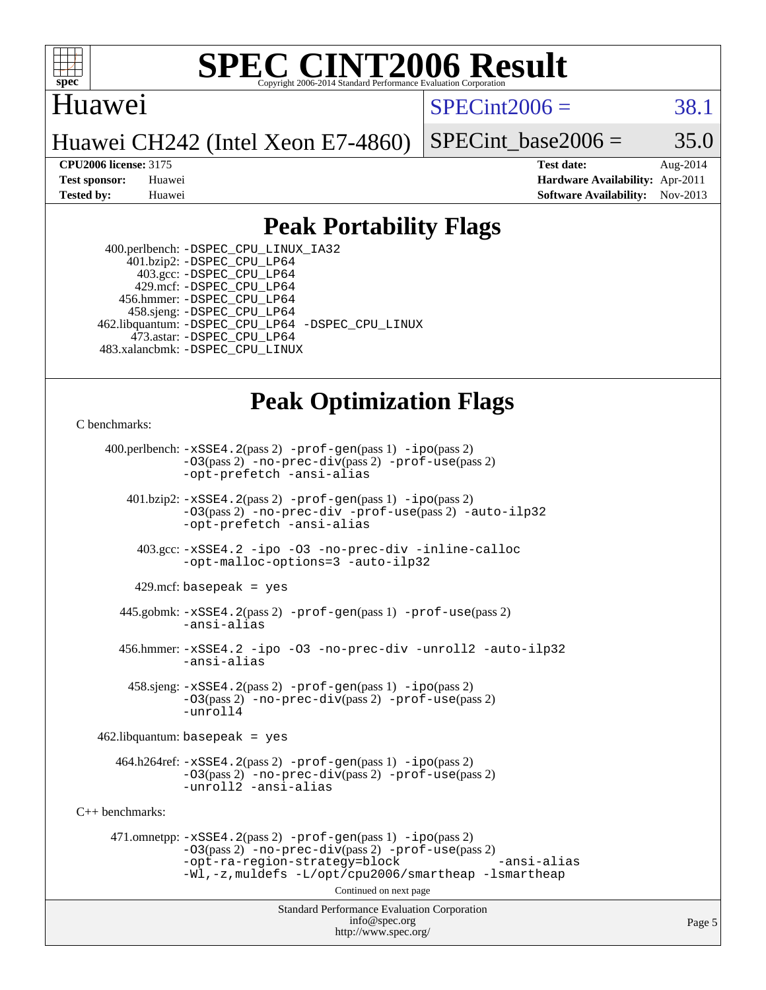

### Huawei

 $SPECint2006 = 38.1$  $SPECint2006 = 38.1$ 

Huawei CH242 (Intel Xeon E7-4860)

SPECint base2006 =  $35.0$ 

**[CPU2006 license:](http://www.spec.org/auto/cpu2006/Docs/result-fields.html#CPU2006license)** 3175 **[Test date:](http://www.spec.org/auto/cpu2006/Docs/result-fields.html#Testdate)** Aug-2014 **[Test sponsor:](http://www.spec.org/auto/cpu2006/Docs/result-fields.html#Testsponsor)** Huawei **[Hardware Availability:](http://www.spec.org/auto/cpu2006/Docs/result-fields.html#HardwareAvailability)** Apr-2011 **[Tested by:](http://www.spec.org/auto/cpu2006/Docs/result-fields.html#Testedby)** Huawei **[Software Availability:](http://www.spec.org/auto/cpu2006/Docs/result-fields.html#SoftwareAvailability)** Nov-2013

## **[Peak Portability Flags](http://www.spec.org/auto/cpu2006/Docs/result-fields.html#PeakPortabilityFlags)**

 400.perlbench: [-DSPEC\\_CPU\\_LINUX\\_IA32](http://www.spec.org/cpu2006/results/res2014q3/cpu2006-20140903-31178.flags.html#b400.perlbench_peakCPORTABILITY_DSPEC_CPU_LINUX_IA32) 401.bzip2: [-DSPEC\\_CPU\\_LP64](http://www.spec.org/cpu2006/results/res2014q3/cpu2006-20140903-31178.flags.html#suite_peakPORTABILITY401_bzip2_DSPEC_CPU_LP64) 403.gcc: [-DSPEC\\_CPU\\_LP64](http://www.spec.org/cpu2006/results/res2014q3/cpu2006-20140903-31178.flags.html#suite_peakPORTABILITY403_gcc_DSPEC_CPU_LP64) 429.mcf: [-DSPEC\\_CPU\\_LP64](http://www.spec.org/cpu2006/results/res2014q3/cpu2006-20140903-31178.flags.html#suite_peakPORTABILITY429_mcf_DSPEC_CPU_LP64) 456.hmmer: [-DSPEC\\_CPU\\_LP64](http://www.spec.org/cpu2006/results/res2014q3/cpu2006-20140903-31178.flags.html#suite_peakPORTABILITY456_hmmer_DSPEC_CPU_LP64) 458.sjeng: [-DSPEC\\_CPU\\_LP64](http://www.spec.org/cpu2006/results/res2014q3/cpu2006-20140903-31178.flags.html#suite_peakPORTABILITY458_sjeng_DSPEC_CPU_LP64) 462.libquantum: [-DSPEC\\_CPU\\_LP64](http://www.spec.org/cpu2006/results/res2014q3/cpu2006-20140903-31178.flags.html#suite_peakPORTABILITY462_libquantum_DSPEC_CPU_LP64) [-DSPEC\\_CPU\\_LINUX](http://www.spec.org/cpu2006/results/res2014q3/cpu2006-20140903-31178.flags.html#b462.libquantum_peakCPORTABILITY_DSPEC_CPU_LINUX) 473.astar: [-DSPEC\\_CPU\\_LP64](http://www.spec.org/cpu2006/results/res2014q3/cpu2006-20140903-31178.flags.html#suite_peakPORTABILITY473_astar_DSPEC_CPU_LP64) 483.xalancbmk: [-DSPEC\\_CPU\\_LINUX](http://www.spec.org/cpu2006/results/res2014q3/cpu2006-20140903-31178.flags.html#b483.xalancbmk_peakCXXPORTABILITY_DSPEC_CPU_LINUX)

## **[Peak Optimization Flags](http://www.spec.org/auto/cpu2006/Docs/result-fields.html#PeakOptimizationFlags)**

[C benchmarks](http://www.spec.org/auto/cpu2006/Docs/result-fields.html#Cbenchmarks):

 400.perlbench: [-xSSE4.2](http://www.spec.org/cpu2006/results/res2014q3/cpu2006-20140903-31178.flags.html#user_peakPASS2_CFLAGSPASS2_LDCFLAGS400_perlbench_f-xSSE42_f91528193cf0b216347adb8b939d4107)(pass 2) [-prof-gen](http://www.spec.org/cpu2006/results/res2014q3/cpu2006-20140903-31178.flags.html#user_peakPASS1_CFLAGSPASS1_LDCFLAGS400_perlbench_prof_gen_e43856698f6ca7b7e442dfd80e94a8fc)(pass 1) [-ipo](http://www.spec.org/cpu2006/results/res2014q3/cpu2006-20140903-31178.flags.html#user_peakPASS2_CFLAGSPASS2_LDCFLAGS400_perlbench_f-ipo)(pass 2) [-O3](http://www.spec.org/cpu2006/results/res2014q3/cpu2006-20140903-31178.flags.html#user_peakPASS2_CFLAGSPASS2_LDCFLAGS400_perlbench_f-O3)(pass 2) [-no-prec-div](http://www.spec.org/cpu2006/results/res2014q3/cpu2006-20140903-31178.flags.html#user_peakPASS2_CFLAGSPASS2_LDCFLAGS400_perlbench_f-no-prec-div)(pass 2) [-prof-use](http://www.spec.org/cpu2006/results/res2014q3/cpu2006-20140903-31178.flags.html#user_peakPASS2_CFLAGSPASS2_LDCFLAGS400_perlbench_prof_use_bccf7792157ff70d64e32fe3e1250b55)(pass 2) [-opt-prefetch](http://www.spec.org/cpu2006/results/res2014q3/cpu2006-20140903-31178.flags.html#user_peakCOPTIMIZE400_perlbench_f-opt-prefetch) [-ansi-alias](http://www.spec.org/cpu2006/results/res2014q3/cpu2006-20140903-31178.flags.html#user_peakCOPTIMIZE400_perlbench_f-ansi-alias) 401.bzip2: [-xSSE4.2](http://www.spec.org/cpu2006/results/res2014q3/cpu2006-20140903-31178.flags.html#user_peakPASS2_CFLAGSPASS2_LDCFLAGS401_bzip2_f-xSSE42_f91528193cf0b216347adb8b939d4107)(pass 2) [-prof-gen](http://www.spec.org/cpu2006/results/res2014q3/cpu2006-20140903-31178.flags.html#user_peakPASS1_CFLAGSPASS1_LDCFLAGS401_bzip2_prof_gen_e43856698f6ca7b7e442dfd80e94a8fc)(pass 1) [-ipo](http://www.spec.org/cpu2006/results/res2014q3/cpu2006-20140903-31178.flags.html#user_peakPASS2_CFLAGSPASS2_LDCFLAGS401_bzip2_f-ipo)(pass 2) [-O3](http://www.spec.org/cpu2006/results/res2014q3/cpu2006-20140903-31178.flags.html#user_peakPASS2_CFLAGSPASS2_LDCFLAGS401_bzip2_f-O3)(pass 2) [-no-prec-div](http://www.spec.org/cpu2006/results/res2014q3/cpu2006-20140903-31178.flags.html#user_peakCOPTIMIZEPASS2_CFLAGSPASS2_LDCFLAGS401_bzip2_f-no-prec-div) [-prof-use](http://www.spec.org/cpu2006/results/res2014q3/cpu2006-20140903-31178.flags.html#user_peakPASS2_CFLAGSPASS2_LDCFLAGS401_bzip2_prof_use_bccf7792157ff70d64e32fe3e1250b55)(pass 2) [-auto-ilp32](http://www.spec.org/cpu2006/results/res2014q3/cpu2006-20140903-31178.flags.html#user_peakCOPTIMIZE401_bzip2_f-auto-ilp32) [-opt-prefetch](http://www.spec.org/cpu2006/results/res2014q3/cpu2006-20140903-31178.flags.html#user_peakCOPTIMIZE401_bzip2_f-opt-prefetch) [-ansi-alias](http://www.spec.org/cpu2006/results/res2014q3/cpu2006-20140903-31178.flags.html#user_peakCOPTIMIZE401_bzip2_f-ansi-alias) 403.gcc: [-xSSE4.2](http://www.spec.org/cpu2006/results/res2014q3/cpu2006-20140903-31178.flags.html#user_peakCOPTIMIZE403_gcc_f-xSSE42_f91528193cf0b216347adb8b939d4107) [-ipo](http://www.spec.org/cpu2006/results/res2014q3/cpu2006-20140903-31178.flags.html#user_peakCOPTIMIZE403_gcc_f-ipo) [-O3](http://www.spec.org/cpu2006/results/res2014q3/cpu2006-20140903-31178.flags.html#user_peakCOPTIMIZE403_gcc_f-O3) [-no-prec-div](http://www.spec.org/cpu2006/results/res2014q3/cpu2006-20140903-31178.flags.html#user_peakCOPTIMIZE403_gcc_f-no-prec-div) [-inline-calloc](http://www.spec.org/cpu2006/results/res2014q3/cpu2006-20140903-31178.flags.html#user_peakCOPTIMIZE403_gcc_f-inline-calloc) [-opt-malloc-options=3](http://www.spec.org/cpu2006/results/res2014q3/cpu2006-20140903-31178.flags.html#user_peakCOPTIMIZE403_gcc_f-opt-malloc-options_13ab9b803cf986b4ee62f0a5998c2238) [-auto-ilp32](http://www.spec.org/cpu2006/results/res2014q3/cpu2006-20140903-31178.flags.html#user_peakCOPTIMIZE403_gcc_f-auto-ilp32)  $429$ .mcf: basepeak = yes 445.gobmk: [-xSSE4.2](http://www.spec.org/cpu2006/results/res2014q3/cpu2006-20140903-31178.flags.html#user_peakPASS2_CFLAGSPASS2_LDCFLAGS445_gobmk_f-xSSE42_f91528193cf0b216347adb8b939d4107)(pass 2) [-prof-gen](http://www.spec.org/cpu2006/results/res2014q3/cpu2006-20140903-31178.flags.html#user_peakPASS1_CFLAGSPASS1_LDCFLAGS445_gobmk_prof_gen_e43856698f6ca7b7e442dfd80e94a8fc)(pass 1) [-prof-use](http://www.spec.org/cpu2006/results/res2014q3/cpu2006-20140903-31178.flags.html#user_peakPASS2_CFLAGSPASS2_LDCFLAGS445_gobmk_prof_use_bccf7792157ff70d64e32fe3e1250b55)(pass 2) [-ansi-alias](http://www.spec.org/cpu2006/results/res2014q3/cpu2006-20140903-31178.flags.html#user_peakCOPTIMIZE445_gobmk_f-ansi-alias) 456.hmmer: [-xSSE4.2](http://www.spec.org/cpu2006/results/res2014q3/cpu2006-20140903-31178.flags.html#user_peakCOPTIMIZE456_hmmer_f-xSSE42_f91528193cf0b216347adb8b939d4107) [-ipo](http://www.spec.org/cpu2006/results/res2014q3/cpu2006-20140903-31178.flags.html#user_peakCOPTIMIZE456_hmmer_f-ipo) [-O3](http://www.spec.org/cpu2006/results/res2014q3/cpu2006-20140903-31178.flags.html#user_peakCOPTIMIZE456_hmmer_f-O3) [-no-prec-div](http://www.spec.org/cpu2006/results/res2014q3/cpu2006-20140903-31178.flags.html#user_peakCOPTIMIZE456_hmmer_f-no-prec-div) [-unroll2](http://www.spec.org/cpu2006/results/res2014q3/cpu2006-20140903-31178.flags.html#user_peakCOPTIMIZE456_hmmer_f-unroll_784dae83bebfb236979b41d2422d7ec2) [-auto-ilp32](http://www.spec.org/cpu2006/results/res2014q3/cpu2006-20140903-31178.flags.html#user_peakCOPTIMIZE456_hmmer_f-auto-ilp32) [-ansi-alias](http://www.spec.org/cpu2006/results/res2014q3/cpu2006-20140903-31178.flags.html#user_peakCOPTIMIZE456_hmmer_f-ansi-alias) 458.sjeng: [-xSSE4.2](http://www.spec.org/cpu2006/results/res2014q3/cpu2006-20140903-31178.flags.html#user_peakPASS2_CFLAGSPASS2_LDCFLAGS458_sjeng_f-xSSE42_f91528193cf0b216347adb8b939d4107)(pass 2) [-prof-gen](http://www.spec.org/cpu2006/results/res2014q3/cpu2006-20140903-31178.flags.html#user_peakPASS1_CFLAGSPASS1_LDCFLAGS458_sjeng_prof_gen_e43856698f6ca7b7e442dfd80e94a8fc)(pass 1) [-ipo](http://www.spec.org/cpu2006/results/res2014q3/cpu2006-20140903-31178.flags.html#user_peakPASS2_CFLAGSPASS2_LDCFLAGS458_sjeng_f-ipo)(pass 2) [-O3](http://www.spec.org/cpu2006/results/res2014q3/cpu2006-20140903-31178.flags.html#user_peakPASS2_CFLAGSPASS2_LDCFLAGS458_sjeng_f-O3)(pass 2) [-no-prec-div](http://www.spec.org/cpu2006/results/res2014q3/cpu2006-20140903-31178.flags.html#user_peakPASS2_CFLAGSPASS2_LDCFLAGS458_sjeng_f-no-prec-div)(pass 2) [-prof-use](http://www.spec.org/cpu2006/results/res2014q3/cpu2006-20140903-31178.flags.html#user_peakPASS2_CFLAGSPASS2_LDCFLAGS458_sjeng_prof_use_bccf7792157ff70d64e32fe3e1250b55)(pass 2) [-unroll4](http://www.spec.org/cpu2006/results/res2014q3/cpu2006-20140903-31178.flags.html#user_peakCOPTIMIZE458_sjeng_f-unroll_4e5e4ed65b7fd20bdcd365bec371b81f)  $462$ .libquantum: basepeak = yes  $464.h264 \text{ref}: -x \text{SSE4}.2(\text{pass 2}) - \text{prof-qen}(\text{pass 1}) - \text{ipo}(\text{pass 2})$ [-O3](http://www.spec.org/cpu2006/results/res2014q3/cpu2006-20140903-31178.flags.html#user_peakPASS2_CFLAGSPASS2_LDCFLAGS464_h264ref_f-O3)(pass 2) [-no-prec-div](http://www.spec.org/cpu2006/results/res2014q3/cpu2006-20140903-31178.flags.html#user_peakPASS2_CFLAGSPASS2_LDCFLAGS464_h264ref_f-no-prec-div)(pass 2) [-prof-use](http://www.spec.org/cpu2006/results/res2014q3/cpu2006-20140903-31178.flags.html#user_peakPASS2_CFLAGSPASS2_LDCFLAGS464_h264ref_prof_use_bccf7792157ff70d64e32fe3e1250b55)(pass 2) [-unroll2](http://www.spec.org/cpu2006/results/res2014q3/cpu2006-20140903-31178.flags.html#user_peakCOPTIMIZE464_h264ref_f-unroll_784dae83bebfb236979b41d2422d7ec2) [-ansi-alias](http://www.spec.org/cpu2006/results/res2014q3/cpu2006-20140903-31178.flags.html#user_peakCOPTIMIZE464_h264ref_f-ansi-alias) [C++ benchmarks:](http://www.spec.org/auto/cpu2006/Docs/result-fields.html#CXXbenchmarks) 471.omnetpp: [-xSSE4.2](http://www.spec.org/cpu2006/results/res2014q3/cpu2006-20140903-31178.flags.html#user_peakPASS2_CXXFLAGSPASS2_LDCXXFLAGS471_omnetpp_f-xSSE42_f91528193cf0b216347adb8b939d4107)(pass 2) [-prof-gen](http://www.spec.org/cpu2006/results/res2014q3/cpu2006-20140903-31178.flags.html#user_peakPASS1_CXXFLAGSPASS1_LDCXXFLAGS471_omnetpp_prof_gen_e43856698f6ca7b7e442dfd80e94a8fc)(pass 1) [-ipo](http://www.spec.org/cpu2006/results/res2014q3/cpu2006-20140903-31178.flags.html#user_peakPASS2_CXXFLAGSPASS2_LDCXXFLAGS471_omnetpp_f-ipo)(pass 2) [-O3](http://www.spec.org/cpu2006/results/res2014q3/cpu2006-20140903-31178.flags.html#user_peakPASS2_CXXFLAGSPASS2_LDCXXFLAGS471_omnetpp_f-O3)(pass 2) [-no-prec-div](http://www.spec.org/cpu2006/results/res2014q3/cpu2006-20140903-31178.flags.html#user_peakPASS2_CXXFLAGSPASS2_LDCXXFLAGS471_omnetpp_f-no-prec-div)(pass 2) [-prof-use](http://www.spec.org/cpu2006/results/res2014q3/cpu2006-20140903-31178.flags.html#user_peakPASS2_CXXFLAGSPASS2_LDCXXFLAGS471_omnetpp_prof_use_bccf7792157ff70d64e32fe3e1250b55)(pass 2) [-opt-ra-region-strategy=block](http://www.spec.org/cpu2006/results/res2014q3/cpu2006-20140903-31178.flags.html#user_peakCXXOPTIMIZE471_omnetpp_f-opt-ra-region-strategy_5382940c29ea30302d682fc74bfe0147) [-ansi-alias](http://www.spec.org/cpu2006/results/res2014q3/cpu2006-20140903-31178.flags.html#user_peakCXXOPTIMIZE471_omnetpp_f-ansi-alias) [-Wl,-z,muldefs](http://www.spec.org/cpu2006/results/res2014q3/cpu2006-20140903-31178.flags.html#user_peakEXTRA_LDFLAGS471_omnetpp_link_force_multiple1_74079c344b956b9658436fd1b6dd3a8a) [-L/opt/cpu2006/smartheap -lsmartheap](http://www.spec.org/cpu2006/results/res2014q3/cpu2006-20140903-31178.flags.html#user_peakEXTRA_LIBS471_omnetpp_SmartHeap_2f852be89b2dfc2d41ebbacc6e6b7c8c) Continued on next page